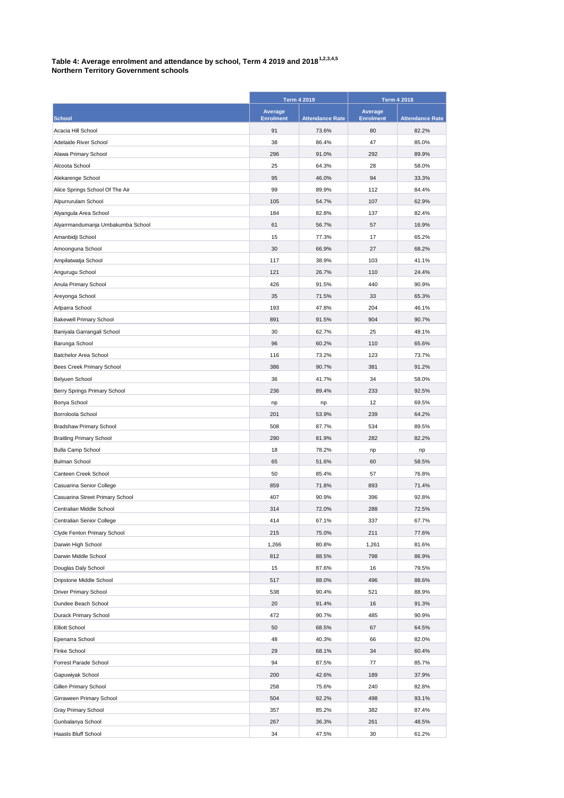## **Table 4: Average enrolment and attendance by school, Term 4 2019 and 20181,2,3,4,5**

| <b>Northern Territory Government schools</b> |  |
|----------------------------------------------|--|
|----------------------------------------------|--|

|                                   | <b>Term 4 2019</b>          |                        | <b>Term 4 2018</b>          |                        |
|-----------------------------------|-----------------------------|------------------------|-----------------------------|------------------------|
| <b>School</b>                     | Average<br><b>Enrolment</b> | <b>Attendance Rate</b> | Average<br><b>Enrolment</b> | <b>Attendance Rate</b> |
| Acacia Hill School                | 91                          | 73.6%                  | 80                          | 82.2%                  |
| Adelaide River School             | 38                          | 86.4%                  | 47                          | 85.0%                  |
| Alawa Primary School              | 296                         | 91.0%                  | 292                         | 89.9%                  |
| Alcoota School                    | 25                          | 64.3%                  | 28                          | 58.0%                  |
| Alekarenge School                 | 95                          | 46.0%                  | 94                          | 33.3%                  |
| Alice Springs School Of The Air   | 99                          | 89.9%                  | 112                         | 84.4%                  |
| Alpurrurulam School               | 105                         | 54.7%                  | 107                         | 62.9%                  |
| Alyangula Area School             | 184                         | 82.8%                  | 137                         | 82.4%                  |
| Alyarrmandumanja Umbakumba School | 61                          | 56.7%                  | 57                          | 16.9%                  |
| Amanbidji School                  | 15                          | 77.3%                  | 17                          | 65.2%                  |
| Amoonguna School                  | 30                          | 66.9%                  | 27                          | 68.2%                  |
|                                   | 117                         | 38.9%                  | 103                         | 41.1%                  |
| Ampilatwatja School               |                             |                        |                             |                        |
| Angurugu School                   | 121                         | 26.7%                  | 110                         | 24.4%                  |
| Anula Primary School              | 426                         | 91.5%                  | 440                         | 90.9%                  |
| Areyonga School                   | 35                          | 71.5%                  | 33                          | 65.3%                  |
| Arlparra School                   | 193                         | 47.8%                  | 204                         | 46.1%                  |
| <b>Bakewell Primary School</b>    | 891                         | 91.5%                  | 904                         | 90.7%                  |
| Baniyala Garrangali School        | 30                          | 62.7%                  | 25                          | 48.1%                  |
| Barunga School                    | 96                          | 60.2%                  | 110                         | 65.6%                  |
| Batchelor Area School             | 116                         | 73.2%                  | 123                         | 73.7%                  |
| Bees Creek Primary School         | 386                         | 90.7%                  | 381                         | 91.2%                  |
| Belyuen School                    | 36                          | 41.7%                  | 34                          | 58.0%                  |
| Berry Springs Primary School      | 236                         | 89.4%                  | 233                         | 92.5%                  |
| Bonya School                      | np                          | np                     | 12                          | 69.5%                  |
| Borroloola School                 | 201                         | 53.9%                  | 239                         | 64.2%                  |
| <b>Bradshaw Primary School</b>    | 508                         | 87.7%                  | 534                         | 89.5%                  |
| <b>Braitling Primary School</b>   | 290                         | 81.9%                  | 282                         | 82.2%                  |
| <b>Bulla Camp School</b>          | 18                          | 78.2%                  | np                          | np                     |
| <b>Bulman School</b>              | 65                          | 51.6%                  | 60                          | 58.5%                  |
| Canteen Creek School              | 50                          | 85.4%                  | 57                          | 76.8%                  |
| Casuarina Senior College          | 859                         | 71.8%                  | 893                         | 71.4%                  |
| Casuarina Street Primary School   | 407                         | 90.9%                  | 396                         | 92.8%                  |
| Centralian Middle School          | 314                         | 72.0%                  | 288                         | 72.5%                  |
| Centralian Senior College         | 414                         | 67.1%                  | 337                         | 67.7%                  |
| Clyde Fenton Primary School       | 215                         | 75.0%                  | 211                         | 77.6%                  |
| Darwin High School                | 1,266                       | 80.8%                  | 1,261                       | 81.6%                  |
| Darwin Middle School              | 812                         | 88.5%                  | 798                         | 86.9%                  |
| Douglas Daly School               | 15                          | 87.6%                  | 16                          | 79.5%                  |
| Dripstone Middle School           | 517                         | 88.0%                  | 496                         | 88.6%                  |
| Driver Primary School             | 538                         | 90.4%                  | 521                         | 88.9%                  |
| Dundee Beach School               | 20                          | 91.4%                  | 16                          | 91.3%                  |
| Durack Primary School             | 472                         | 90.7%                  | 485                         | 90.9%                  |
| <b>Elliott School</b>             | 50                          | 68.5%                  | 67                          | 64.5%                  |
| Epenarra School                   | 48                          | 40.3%                  | 66                          | 82.0%                  |
| Finke School                      | 29                          | 68.1%                  | 34                          | 60.4%                  |
| Forrest Parade School             | 94                          | 87.5%                  | 77                          | 85.7%                  |
| Gapuwiyak School                  | 200                         | 42.6%                  | 189                         | 37.9%                  |
| Gillen Primary School             | 258                         | 75.6%                  | 240                         | 82.8%                  |
| Girraween Primary School          | 504                         | 92.2%                  | 498                         | 93.1%                  |
| Gray Primary School               | 357                         | 85.2%                  | 382                         | 87.4%                  |
| Gunbalanya School                 | 267                         | 36.3%                  | 261                         | 48.5%                  |
| Haasts Bluff School               | 34                          | 47.5%                  | 30                          | 61.2%                  |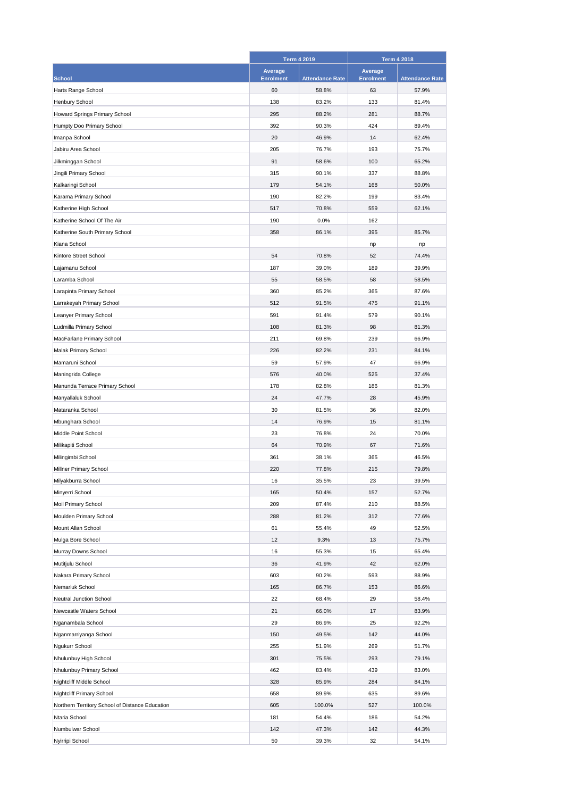|                                                 | <b>Term 4 2019</b> |                        | <b>Term 4 2018</b> |                        |
|-------------------------------------------------|--------------------|------------------------|--------------------|------------------------|
|                                                 | Average            |                        | Average            |                        |
| <b>School</b>                                   | <b>Enrolment</b>   | <b>Attendance Rate</b> | <b>Enrolment</b>   | <b>Attendance Rate</b> |
| Harts Range School                              | 60                 | 58.8%                  | 63                 | 57.9%                  |
| Henbury School                                  | 138                | 83.2%                  | 133                | 81.4%                  |
| Howard Springs Primary School                   | 295                | 88.2%                  | 281                | 88.7%                  |
| Humpty Doo Primary School                       | 392                | 90.3%                  | 424                | 89.4%                  |
| Imanpa School                                   | 20                 | 46.9%                  | 14                 | 62.4%                  |
| Jabiru Area School                              | 205                | 76.7%                  | 193                | 75.7%                  |
| Jilkminggan School                              | 91                 | 58.6%                  | 100                | 65.2%                  |
| Jingili Primary School                          | 315                | 90.1%                  | 337                | 88.8%                  |
| Kalkaringi School                               | 179                | 54.1%                  | 168                | 50.0%                  |
| Karama Primary School                           | 190                | 82.2%                  | 199                | 83.4%                  |
| Katherine High School                           | 517                | 70.8%                  | 559                | 62.1%                  |
| Katherine School Of The Air                     | 190                | 0.0%                   | 162                |                        |
| Katherine South Primary School                  | 358                | 86.1%                  | 395                | 85.7%                  |
| Kiana School                                    |                    |                        | np                 | np                     |
| Kintore Street School                           | 54                 | 70.8%                  | 52                 | 74.4%                  |
| Lajamanu School                                 | 187                | 39.0%                  | 189                | 39.9%                  |
| Laramba School                                  | 55                 | 58.5%                  | 58                 | 58.5%                  |
| Larapinta Primary School                        | 360                | 85.2%                  | 365                | 87.6%                  |
| Larrakeyah Primary School                       | 512                | 91.5%                  | 475                | 91.1%                  |
| Leanyer Primary School                          | 591                | 91.4%                  | 579                | 90.1%                  |
| Ludmilla Primary School                         | 108                | 81.3%                  | 98                 | 81.3%                  |
| MacFarlane Primary School                       | 211                | 69.8%                  | 239                | 66.9%                  |
| Malak Primary School                            | 226                | 82.2%                  | 231                | 84.1%                  |
| Mamaruni School                                 | 59                 | 57.9%                  | 47                 | 66.9%                  |
| Maningrida College                              | 576                | 40.0%                  | 525                | 37.4%                  |
| Manunda Terrace Primary School                  | 178                | 82.8%                  | 186                | 81.3%                  |
| Manyallaluk School                              | 24                 | 47.7%                  | 28                 | 45.9%                  |
| Mataranka School                                | 30                 | 81.5%                  | 36                 | 82.0%                  |
| Mbunghara School                                | 14                 | 76.9%                  | 15                 | 81.1%                  |
| Middle Point School                             | 23                 | 76.8%                  | 24                 | 70.0%                  |
| Milikapiti School                               | 64                 | 70.9%                  | 67                 | 71.6%                  |
| Milingimbi School                               | 361                | 38.1%                  | 365                | 46.5%                  |
| Millner Primary School                          | 220                | 77.8%                  | 215                | 79.8%                  |
|                                                 |                    |                        |                    |                        |
| Milyakburra School                              | 16                 | 35.5%<br>50.4%         | 23                 | 39.5%                  |
| Minyerri School                                 | 165<br>209         |                        | 157<br>210         | 52.7%<br>88.5%         |
| Moil Primary School                             |                    | 87.4%                  |                    |                        |
| Moulden Primary School                          | 288                | 81.2%                  | 312                | 77.6%                  |
| Mount Allan School                              | 61                 | 55.4%                  | 49                 | 52.5%                  |
| Mulga Bore School                               | 12                 | 9.3%                   | 13                 | 75.7%                  |
| Murray Downs School                             | 16                 | 55.3%                  | 15                 | 65.4%                  |
| Mutitjulu School                                | 36                 | 41.9%                  | 42                 | 62.0%                  |
| Nakara Primary School                           | 603                | 90.2%                  | 593                | 88.9%                  |
| Nemarluk School                                 | 165                | 86.7%                  | 153                | 86.6%                  |
| Neutral Junction School                         | 22                 | 68.4%                  | 29                 | 58.4%                  |
| Newcastle Waters School                         | 21                 | 66.0%                  | 17                 | 83.9%                  |
| Nganambala School                               | 29                 | 86.9%                  | 25                 | 92.2%                  |
| Nganmarriyanga School                           | 150                | 49.5%                  | 142                | 44.0%                  |
| Ngukurr School                                  | 255                | 51.9%                  | 269                | 51.7%                  |
| Nhulunbuy High School                           | 301                | 75.5%                  | 293                | 79.1%                  |
| Nhulunbuy Primary School                        | 462                | 83.4%                  | 439                | 83.0%                  |
| Nightcliff Middle School                        | 328                | 85.9%                  | 284                | 84.1%                  |
| Nightcliff Primary School                       | 658                | 89.9%                  | 635                | 89.6%                  |
| Northern Territory School of Distance Education | 605                | 100.0%                 | 527                | 100.0%                 |
| Ntaria School                                   | 181                | 54.4%                  | 186                | 54.2%                  |
| Numbulwar School                                | 142                | 47.3%                  | 142                | 44.3%                  |
| Nyirripi School                                 | 50                 | 39.3%                  | 32                 | 54.1%                  |